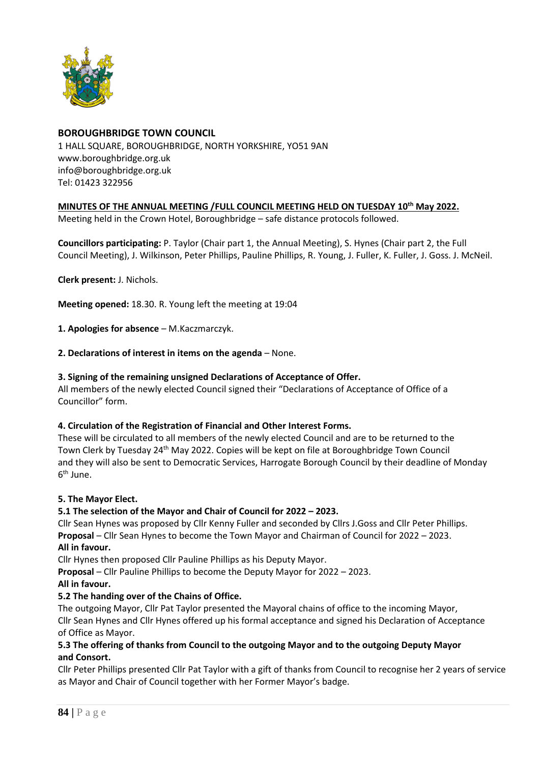

# **BOROUGHBRIDGE TOWN COUNCIL**

1 HALL SQUARE, BOROUGHBRIDGE, NORTH YORKSHIRE, YO51 9AN [www.boroughbridge.org.uk](http://www.boroughbridge.org.uk/) [info@boroughbridge.org.uk](mailto:info@boroughbridge.org.uk) Tel: 01423 322956

# **MINUTES OF THE ANNUAL MEETING /FULL COUNCIL MEETING HELD ON TUESDAY 10th May 2022.**

Meeting held in the Crown Hotel, Boroughbridge – safe distance protocols followed.

**Councillors participating:** P. Taylor (Chair part 1, the Annual Meeting), S. Hynes (Chair part 2, the Full Council Meeting), J. Wilkinson, Peter Phillips, Pauline Phillips, R. Young, J. Fuller, K. Fuller, J. Goss. J. McNeil.

**Clerk present:** J. Nichols.

**Meeting opened:** 18.30. R. Young left the meeting at 19:04

**1. Apologies for absence** – M.Kaczmarczyk.

**2. Declarations of interest in items on the agenda** – None.

#### **3. Signing of the remaining unsigned Declarations of Acceptance of Offer.**

All members of the newly elected Council signed their "Declarations of Acceptance of Office of a Councillor" form.

## **4. Circulation of the Registration of Financial and Other Interest Forms.**

These will be circulated to all members of the newly elected Council and are to be returned to the Town Clerk by Tuesday 24<sup>th</sup> May 2022. Copies will be kept on file at Boroughbridge Town Council and they will also be sent to Democratic Services, Harrogate Borough Council by their deadline of Monday 6<sup>th</sup> June.

## **5. The Mayor Elect.**

## **5.1 The selection of the Mayor and Chair of Council for 2022 – 2023.**

Cllr Sean Hynes was proposed by Cllr Kenny Fuller and seconded by Cllrs J.Goss and Cllr Peter Phillips. **Proposal** – Cllr Sean Hynes to become the Town Mayor and Chairman of Council for 2022 – 2023. **All in favour.**

Cllr Hynes then proposed Cllr Pauline Phillips as his Deputy Mayor.

**Proposal** – Cllr Pauline Phillips to become the Deputy Mayor for 2022 – 2023.

#### **All in favour.**

## **5.2 The handing over of the Chains of Office.**

The outgoing Mayor, Cllr Pat Taylor presented the Mayoral chains of office to the incoming Mayor, Cllr Sean Hynes and Cllr Hynes offered up his formal acceptance and signed his Declaration of Acceptance of Office as Mayor.

## **5.3 The offering of thanks from Council to the outgoing Mayor and to the outgoing Deputy Mayor and Consort.**

Cllr Peter Phillips presented Cllr Pat Taylor with a gift of thanks from Council to recognise her 2 years of service as Mayor and Chair of Council together with her Former Mayor's badge.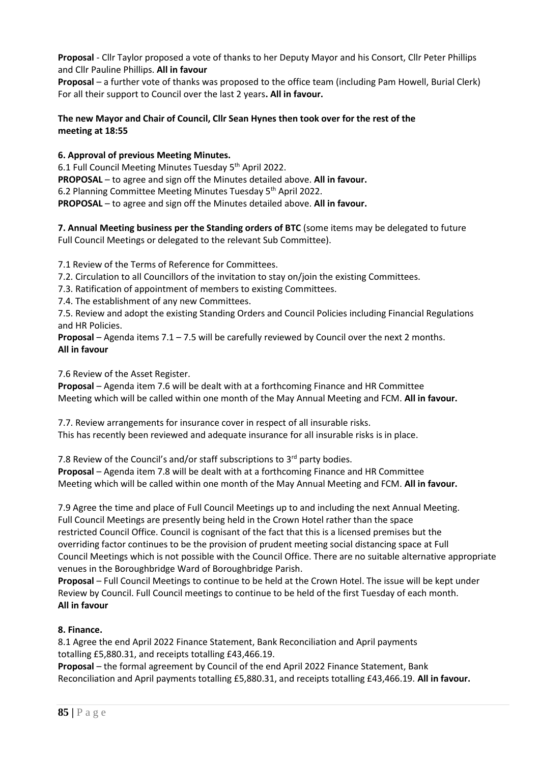**Proposal** - Cllr Taylor proposed a vote of thanks to her Deputy Mayor and his Consort, Cllr Peter Phillips and Cllr Pauline Phillips. **All in favour**

**Proposal** – a further vote of thanks was proposed to the office team (including Pam Howell, Burial Clerk) For all their support to Council over the last 2 years**. All in favour.**

## **The new Mayor and Chair of Council, Cllr Sean Hynes then took over for the rest of the meeting at 18:55**

**6. Approval of previous Meeting Minutes.**

6.1 Full Council Meeting Minutes Tuesday 5<sup>th</sup> April 2022. **PROPOSAL** – to agree and sign off the Minutes detailed above. **All in favour.** 6.2 Planning Committee Meeting Minutes Tuesday 5<sup>th</sup> April 2022. **PROPOSAL** – to agree and sign off the Minutes detailed above. **All in favour.**

**7. Annual Meeting business per the Standing orders of BTC** (some items may be delegated to future Full Council Meetings or delegated to the relevant Sub Committee).

7.1 Review of the Terms of Reference for Committees.

7.2. Circulation to all Councillors of the invitation to stay on/join the existing Committees.

7.3. Ratification of appointment of members to existing Committees.

7.4. The establishment of any new Committees.

7.5. Review and adopt the existing Standing Orders and Council Policies including Financial Regulations and HR Policies.

**Proposal** – Agenda items 7.1 – 7.5 will be carefully reviewed by Council over the next 2 months. **All in favour**

7.6 Review of the Asset Register.

**Proposal** – Agenda item 7.6 will be dealt with at a forthcoming Finance and HR Committee Meeting which will be called within one month of the May Annual Meeting and FCM. **All in favour.**

7.7. Review arrangements for insurance cover in respect of all insurable risks. This has recently been reviewed and adequate insurance for all insurable risks is in place.

7.8 Review of the Council's and/or staff subscriptions to 3<sup>rd</sup> party bodies.

**Proposal** – Agenda item 7.8 will be dealt with at a forthcoming Finance and HR Committee Meeting which will be called within one month of the May Annual Meeting and FCM. **All in favour.**

7.9 Agree the time and place of Full Council Meetings up to and including the next Annual Meeting. Full Council Meetings are presently being held in the Crown Hotel rather than the space restricted Council Office. Council is cognisant of the fact that this is a licensed premises but the overriding factor continues to be the provision of prudent meeting social distancing space at Full Council Meetings which is not possible with the Council Office. There are no suitable alternative appropriate venues in the Boroughbridge Ward of Boroughbridge Parish.

**Proposal** – Full Council Meetings to continue to be held at the Crown Hotel. The issue will be kept under Review by Council. Full Council meetings to continue to be held of the first Tuesday of each month. **All in favour**

# **8. Finance.**

8.1 Agree the end April 2022 Finance Statement, Bank Reconciliation and April payments totalling £5,880.31, and receipts totalling £43,466.19.

**Proposal** – the formal agreement by Council of the end April 2022 Finance Statement, Bank Reconciliation and April payments totalling £5,880.31, and receipts totalling £43,466.19. **All in favour.**